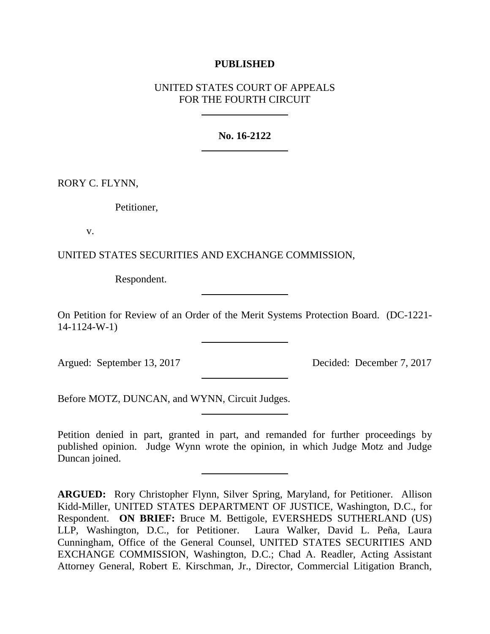# **PUBLISHED**

# UNITED STATES COURT OF APPEALS FOR THE FOURTH CIRCUIT

## **No. 16-2122**

RORY C. FLYNN,

Petitioner,

v.

UNITED STATES SECURITIES AND EXCHANGE COMMISSION,

Respondent.

On Petition for Review of an Order of the Merit Systems Protection Board. (DC-1221- 14-1124-W-1)

Argued: September 13, 2017 Decided: December 7, 2017

Before MOTZ, DUNCAN, and WYNN, Circuit Judges.

Petition denied in part, granted in part, and remanded for further proceedings by published opinion. Judge Wynn wrote the opinion, in which Judge Motz and Judge Duncan joined.

**ARGUED:** Rory Christopher Flynn, Silver Spring, Maryland, for Petitioner. Allison Kidd-Miller, UNITED STATES DEPARTMENT OF JUSTICE, Washington, D.C., for Respondent. **ON BRIEF:** Bruce M. Bettigole, EVERSHEDS SUTHERLAND (US) LLP, Washington, D.C., for Petitioner. Laura Walker, David L. Peña, Laura Cunningham, Office of the General Counsel, UNITED STATES SECURITIES AND EXCHANGE COMMISSION, Washington, D.C.; Chad A. Readler, Acting Assistant Attorney General, Robert E. Kirschman, Jr., Director, Commercial Litigation Branch,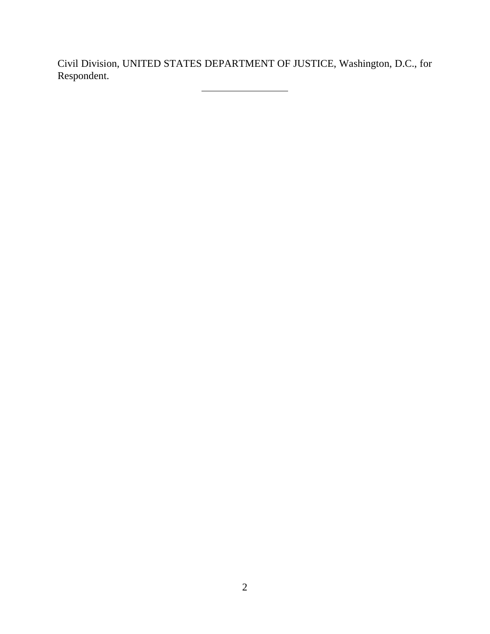Civil Division, UNITED STATES DEPARTMENT OF JUSTICE, Washington, D.C., for Respondent.

ц,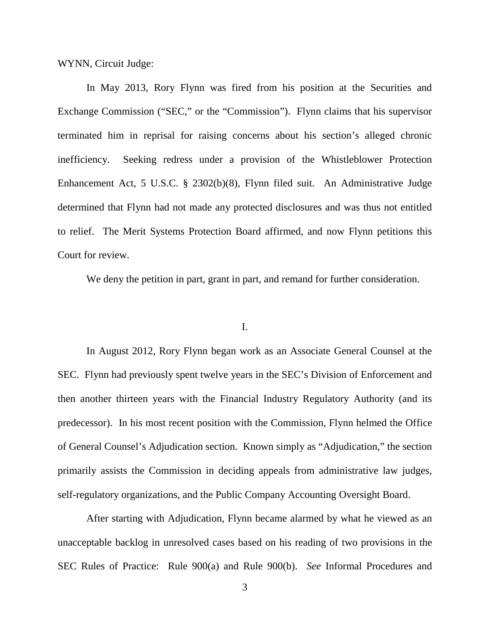WYNN, Circuit Judge:

In May 2013, Rory Flynn was fired from his position at the Securities and Exchange Commission ("SEC," or the "Commission"). Flynn claims that his supervisor terminated him in reprisal for raising concerns about his section's alleged chronic inefficiency. Seeking redress under a provision of the Whistleblower Protection Enhancement Act, 5 U.S.C. § 2302(b)(8), Flynn filed suit. An Administrative Judge determined that Flynn had not made any protected disclosures and was thus not entitled to relief. The Merit Systems Protection Board affirmed, and now Flynn petitions this Court for review.

We deny the petition in part, grant in part, and remand for further consideration.

## I.

In August 2012, Rory Flynn began work as an Associate General Counsel at the SEC. Flynn had previously spent twelve years in the SEC's Division of Enforcement and then another thirteen years with the Financial Industry Regulatory Authority (and its predecessor). In his most recent position with the Commission, Flynn helmed the Office of General Counsel's Adjudication section. Known simply as "Adjudication," the section primarily assists the Commission in deciding appeals from administrative law judges, self-regulatory organizations, and the Public Company Accounting Oversight Board.

After starting with Adjudication, Flynn became alarmed by what he viewed as an unacceptable backlog in unresolved cases based on his reading of two provisions in the SEC Rules of Practice: Rule 900(a) and Rule 900(b). *See* Informal Procedures and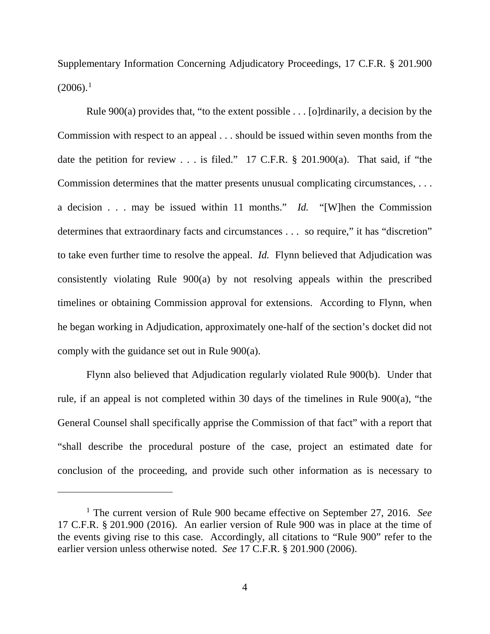Supplementary Information Concerning Adjudicatory Proceedings, 17 C.F.R. § 201.900  $(2006).<sup>1</sup>$  $(2006).<sup>1</sup>$  $(2006).<sup>1</sup>$ 

Rule  $900(a)$  provides that, "to the extent possible . . . [o]rdinarily, a decision by the Commission with respect to an appeal . . . should be issued within seven months from the date the petition for review . . . is filed." 17 C.F.R. § 201.900(a). That said, if "the Commission determines that the matter presents unusual complicating circumstances, . . . a decision . . . may be issued within 11 months." *Id.* "[W]hen the Commission determines that extraordinary facts and circumstances . . . so require," it has "discretion" to take even further time to resolve the appeal. *Id.* Flynn believed that Adjudication was consistently violating Rule 900(a) by not resolving appeals within the prescribed timelines or obtaining Commission approval for extensions. According to Flynn, when he began working in Adjudication, approximately one-half of the section's docket did not comply with the guidance set out in Rule 900(a).

Flynn also believed that Adjudication regularly violated Rule 900(b). Under that rule, if an appeal is not completed within 30 days of the timelines in Rule 900(a), "the General Counsel shall specifically apprise the Commission of that fact" with a report that "shall describe the procedural posture of the case, project an estimated date for conclusion of the proceeding, and provide such other information as is necessary to

 $\overline{a}$ 

<span id="page-3-0"></span><sup>1</sup> The current version of Rule 900 became effective on September 27, 2016. *See* 17 C.F.R. § 201.900 (2016). An earlier version of Rule 900 was in place at the time of the events giving rise to this case. Accordingly, all citations to "Rule 900" refer to the earlier version unless otherwise noted. *See* 17 C.F.R. § 201.900 (2006).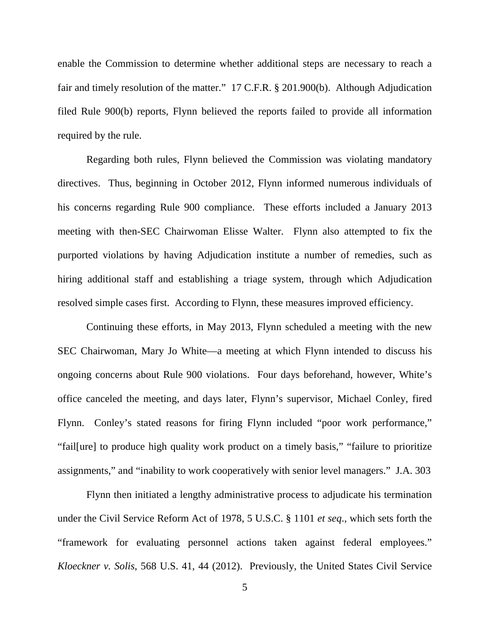enable the Commission to determine whether additional steps are necessary to reach a fair and timely resolution of the matter." 17 C.F.R. § 201.900(b). Although Adjudication filed Rule 900(b) reports, Flynn believed the reports failed to provide all information required by the rule.

Regarding both rules, Flynn believed the Commission was violating mandatory directives. Thus, beginning in October 2012, Flynn informed numerous individuals of his concerns regarding Rule 900 compliance. These efforts included a January 2013 meeting with then-SEC Chairwoman Elisse Walter. Flynn also attempted to fix the purported violations by having Adjudication institute a number of remedies, such as hiring additional staff and establishing a triage system, through which Adjudication resolved simple cases first. According to Flynn, these measures improved efficiency.

Continuing these efforts, in May 2013, Flynn scheduled a meeting with the new SEC Chairwoman, Mary Jo White—a meeting at which Flynn intended to discuss his ongoing concerns about Rule 900 violations. Four days beforehand, however, White's office canceled the meeting, and days later, Flynn's supervisor, Michael Conley, fired Flynn. Conley's stated reasons for firing Flynn included "poor work performance," "fail[ure] to produce high quality work product on a timely basis," "failure to prioritize assignments," and "inability to work cooperatively with senior level managers." J.A. 303

Flynn then initiated a lengthy administrative process to adjudicate his termination under the Civil Service Reform Act of 1978, 5 U.S.C. § 1101 *et seq*., which sets forth the "framework for evaluating personnel actions taken against federal employees." *Kloeckner v. Solis*, 568 U.S. 41, 44 (2012). Previously, the United States Civil Service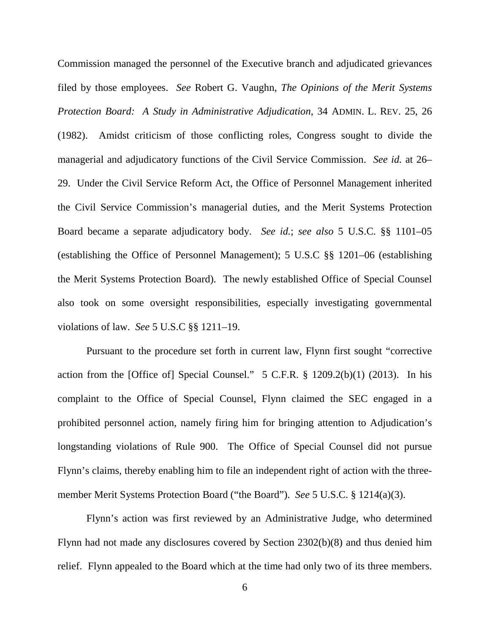Commission managed the personnel of the Executive branch and adjudicated grievances filed by those employees. *See* Robert G. Vaughn, *The Opinions of the Merit Systems Protection Board: A Study in Administrative Adjudication*, 34 ADMIN. L. REV. 25, 26 (1982). Amidst criticism of those conflicting roles, Congress sought to divide the managerial and adjudicatory functions of the Civil Service Commission. *See id.* at 26– 29. Under the Civil Service Reform Act, the Office of Personnel Management inherited the Civil Service Commission's managerial duties, and the Merit Systems Protection Board became a separate adjudicatory body. *See id.*; *see also* 5 U.S.C. §§ 1101–05 (establishing the Office of Personnel Management); 5 U.S.C §§ 1201–06 (establishing the Merit Systems Protection Board). The newly established Office of Special Counsel also took on some oversight responsibilities, especially investigating governmental violations of law. *See* 5 U.S.C §§ 1211–19.

Pursuant to the procedure set forth in current law, Flynn first sought "corrective action from the [Office of] Special Counsel."  $5$  C.F.R.  $\frac{8}{3}$  1209.2(b)(1) (2013). In his complaint to the Office of Special Counsel, Flynn claimed the SEC engaged in a prohibited personnel action, namely firing him for bringing attention to Adjudication's longstanding violations of Rule 900. The Office of Special Counsel did not pursue Flynn's claims, thereby enabling him to file an independent right of action with the threemember Merit Systems Protection Board ("the Board"). *See* 5 U.S.C. § 1214(a)(3).

Flynn's action was first reviewed by an Administrative Judge, who determined Flynn had not made any disclosures covered by Section 2302(b)(8) and thus denied him relief. Flynn appealed to the Board which at the time had only two of its three members.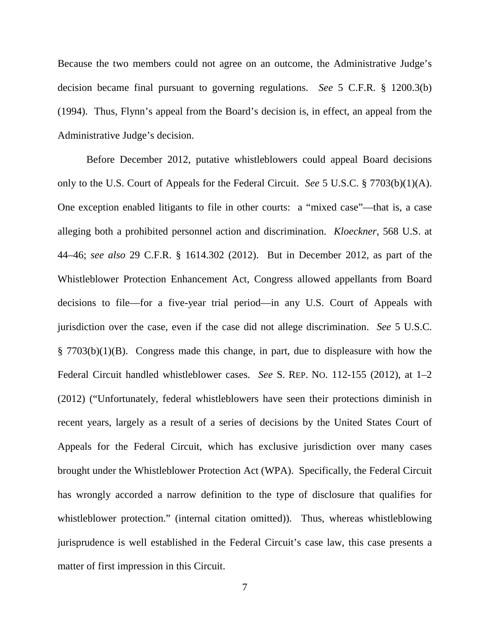Because the two members could not agree on an outcome, the Administrative Judge's decision became final pursuant to governing regulations. *See* 5 C.F.R. § 1200.3(b) (1994). Thus, Flynn's appeal from the Board's decision is, in effect, an appeal from the Administrative Judge's decision.

Before December 2012, putative whistleblowers could appeal Board decisions only to the U.S. Court of Appeals for the Federal Circuit. *See* 5 U.S.C. § 7703(b)(1)(A). One exception enabled litigants to file in other courts: a "mixed case"—that is, a case alleging both a prohibited personnel action and discrimination. *Kloeckner*, 568 U.S. at 44–46; *see also* 29 C.F.R. § 1614.302 (2012). But in December 2012, as part of the Whistleblower Protection Enhancement Act, Congress allowed appellants from Board decisions to file—for a five-year trial period—in any U.S. Court of Appeals with jurisdiction over the case, even if the case did not allege discrimination. *See* 5 U.S.C. § 7703(b)(1)(B). Congress made this change, in part, due to displeasure with how the Federal Circuit handled whistleblower cases. *See* S. REP. NO. 112-155 (2012), at 1–2 (2012) ("Unfortunately, federal whistleblowers have seen their protections diminish in recent years, largely as a result of a series of decisions by the United States Court of Appeals for the Federal Circuit, which has exclusive jurisdiction over many cases brought under the Whistleblower Protection Act (WPA). Specifically, the Federal Circuit has wrongly accorded a narrow definition to the type of disclosure that qualifies for whistleblower protection." (internal citation omitted)). Thus, whereas whistleblowing jurisprudence is well established in the Federal Circuit's case law, this case presents a matter of first impression in this Circuit.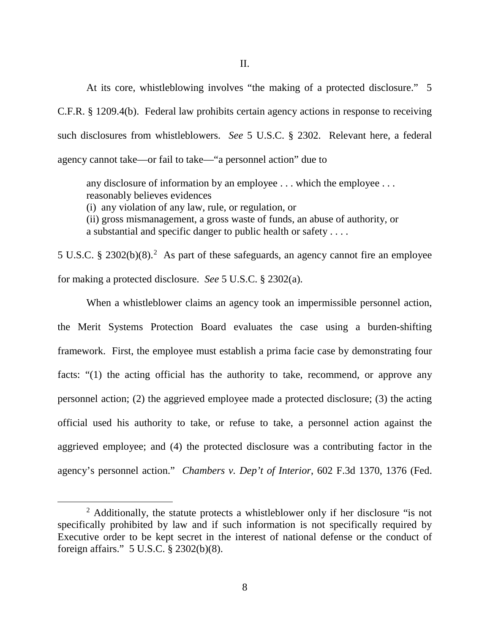At its core, whistleblowing involves "the making of a protected disclosure." 5 C.F.R. § 1209.4(b). Federal law prohibits certain agency actions in response to receiving such disclosures from whistleblowers. *See* 5 U.S.C. § 2302. Relevant here, a federal agency cannot take—or fail to take—"a personnel action" due to

any disclosure of information by an employee . . . which the employee . . . reasonably believes evidences

(i) any violation of any law, rule, or regulation, or

(ii) gross mismanagement, a gross waste of funds, an abuse of authority, or a substantial and specific danger to public health or safety . . . .

5 U.S.C. § [2](#page-7-0)302 $(b)(8)$ .<sup>2</sup> As part of these safeguards, an agency cannot fire an employee for making a protected disclosure. *See* 5 U.S.C. § 2302(a).

When a whistleblower claims an agency took an impermissible personnel action, the Merit Systems Protection Board evaluates the case using a burden-shifting framework. First, the employee must establish a prima facie case by demonstrating four facts: "(1) the acting official has the authority to take, recommend, or approve any personnel action; (2) the aggrieved employee made a protected disclosure; (3) the acting official used his authority to take, or refuse to take, a personnel action against the aggrieved employee; and (4) the protected disclosure was a contributing factor in the agency's personnel action." *Chambers v. Dep't of Interior*, 602 F.3d 1370, 1376 (Fed.

<span id="page-7-0"></span><sup>&</sup>lt;sup>2</sup> Additionally, the statute protects a whistleblower only if her disclosure "is not specifically prohibited by law and if such information is not specifically required by Executive order to be kept secret in the interest of national defense or the conduct of foreign affairs." 5 U.S.C. § 2302(b)(8).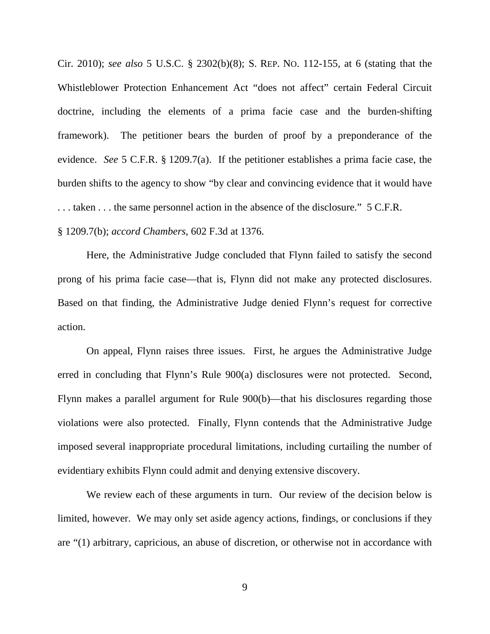Cir. 2010); *see also* 5 U.S.C. § 2302(b)(8); S. REP. NO. 112-155, at 6 (stating that the Whistleblower Protection Enhancement Act "does not affect" certain Federal Circuit doctrine, including the elements of a prima facie case and the burden-shifting framework). The petitioner bears the burden of proof by a preponderance of the evidence. *See* 5 C.F.R. § 1209.7(a). If the petitioner establishes a prima facie case, the burden shifts to the agency to show "by clear and convincing evidence that it would have . . . taken . . . the same personnel action in the absence of the disclosure." 5 C.F.R.

§ 1209.7(b); *accord Chambers*, 602 F.3d at 1376.

Here, the Administrative Judge concluded that Flynn failed to satisfy the second prong of his prima facie case—that is, Flynn did not make any protected disclosures. Based on that finding, the Administrative Judge denied Flynn's request for corrective action.

On appeal, Flynn raises three issues. First, he argues the Administrative Judge erred in concluding that Flynn's Rule 900(a) disclosures were not protected. Second, Flynn makes a parallel argument for Rule 900(b)—that his disclosures regarding those violations were also protected. Finally, Flynn contends that the Administrative Judge imposed several inappropriate procedural limitations, including curtailing the number of evidentiary exhibits Flynn could admit and denying extensive discovery.

We review each of these arguments in turn. Our review of the decision below is limited, however. We may only set aside agency actions, findings, or conclusions if they are "(1) arbitrary, capricious, an abuse of discretion, or otherwise not in accordance with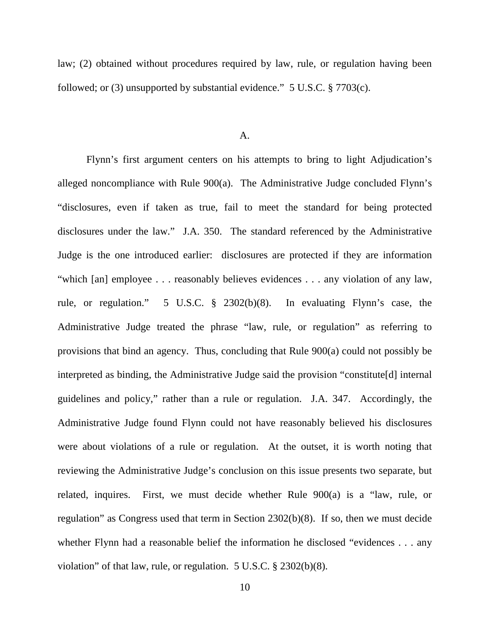law; (2) obtained without procedures required by law, rule, or regulation having been followed; or (3) unsupported by substantial evidence." 5 U.S.C. § 7703(c).

#### A.

Flynn's first argument centers on his attempts to bring to light Adjudication's alleged noncompliance with Rule 900(a). The Administrative Judge concluded Flynn's "disclosures, even if taken as true, fail to meet the standard for being protected disclosures under the law." J.A. 350. The standard referenced by the Administrative Judge is the one introduced earlier: disclosures are protected if they are information "which [an] employee . . . reasonably believes evidences . . . any violation of any law, rule, or regulation." 5 U.S.C. § 2302(b)(8). In evaluating Flynn's case, the Administrative Judge treated the phrase "law, rule, or regulation" as referring to provisions that bind an agency. Thus, concluding that Rule 900(a) could not possibly be interpreted as binding, the Administrative Judge said the provision "constitute[d] internal guidelines and policy," rather than a rule or regulation. J.A. 347. Accordingly, the Administrative Judge found Flynn could not have reasonably believed his disclosures were about violations of a rule or regulation. At the outset, it is worth noting that reviewing the Administrative Judge's conclusion on this issue presents two separate, but related, inquires. First, we must decide whether Rule 900(a) is a "law, rule, or regulation" as Congress used that term in Section 2302(b)(8). If so, then we must decide whether Flynn had a reasonable belief the information he disclosed "evidences . . . any violation" of that law, rule, or regulation. 5 U.S.C. § 2302(b)(8).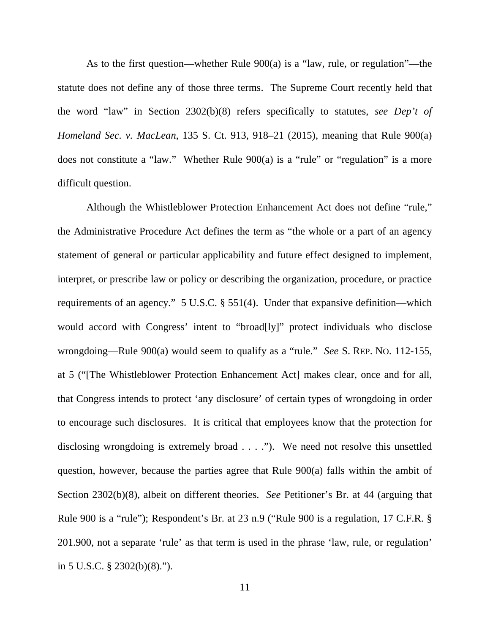As to the first question—whether Rule 900(a) is a "law, rule, or regulation"—the statute does not define any of those three terms. The Supreme Court recently held that the word "law" in Section 2302(b)(8) refers specifically to statutes, *see Dep't of Homeland Sec. v. MacLean*, 135 S. Ct. 913, 918–21 (2015), meaning that Rule 900(a) does not constitute a "law." Whether Rule 900(a) is a "rule" or "regulation" is a more difficult question.

Although the Whistleblower Protection Enhancement Act does not define "rule," the Administrative Procedure Act defines the term as "the whole or a part of an agency statement of general or particular applicability and future effect designed to implement, interpret, or prescribe law or policy or describing the organization, procedure, or practice requirements of an agency." 5 U.S.C. § 551(4). Under that expansive definition—which would accord with Congress' intent to "broad[ly]" protect individuals who disclose wrongdoing—Rule 900(a) would seem to qualify as a "rule." *See* S. REP. NO. 112-155, at 5 ("[The Whistleblower Protection Enhancement Act] makes clear, once and for all, that Congress intends to protect 'any disclosure' of certain types of wrongdoing in order to encourage such disclosures. It is critical that employees know that the protection for disclosing wrongdoing is extremely broad . . . ."). We need not resolve this unsettled question, however, because the parties agree that Rule 900(a) falls within the ambit of Section 2302(b)(8), albeit on different theories. *See* Petitioner's Br. at 44 (arguing that Rule 900 is a "rule"); Respondent's Br. at 23 n.9 ("Rule 900 is a regulation, 17 C.F.R. § 201.900, not a separate 'rule' as that term is used in the phrase 'law, rule, or regulation' in 5 U.S.C. § 2302(b)(8).").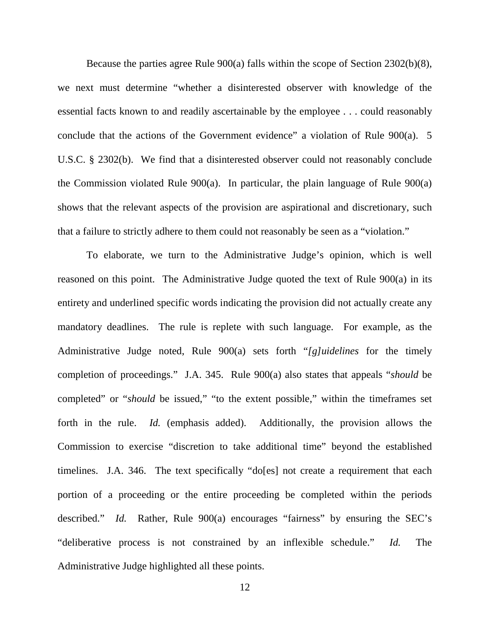Because the parties agree Rule 900(a) falls within the scope of Section 2302(b)(8), we next must determine "whether a disinterested observer with knowledge of the essential facts known to and readily ascertainable by the employee . . . could reasonably conclude that the actions of the Government evidence" a violation of Rule 900(a). 5 U.S.C. § 2302(b). We find that a disinterested observer could not reasonably conclude the Commission violated Rule 900(a). In particular, the plain language of Rule 900(a) shows that the relevant aspects of the provision are aspirational and discretionary, such that a failure to strictly adhere to them could not reasonably be seen as a "violation."

To elaborate, we turn to the Administrative Judge's opinion, which is well reasoned on this point. The Administrative Judge quoted the text of Rule 900(a) in its entirety and underlined specific words indicating the provision did not actually create any mandatory deadlines. The rule is replete with such language. For example, as the Administrative Judge noted, Rule 900(a) sets forth "*[g]uidelines* for the timely completion of proceedings." J.A. 345. Rule 900(a) also states that appeals "*should* be completed" or "*should* be issued," "to the extent possible," within the timeframes set forth in the rule. *Id.* (emphasis added). Additionally, the provision allows the Commission to exercise "discretion to take additional time" beyond the established timelines. J.A. 346. The text specifically "do[es] not create a requirement that each portion of a proceeding or the entire proceeding be completed within the periods described." *Id.* Rather, Rule 900(a) encourages "fairness" by ensuring the SEC's "deliberative process is not constrained by an inflexible schedule." *Id.* The Administrative Judge highlighted all these points.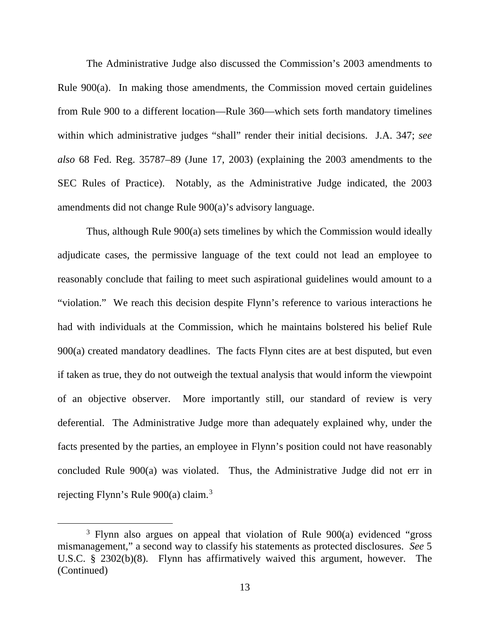The Administrative Judge also discussed the Commission's 2003 amendments to Rule 900(a). In making those amendments, the Commission moved certain guidelines from Rule 900 to a different location—Rule 360—which sets forth mandatory timelines within which administrative judges "shall" render their initial decisions. J.A. 347; *see also* 68 Fed. Reg. 35787–89 (June 17, 2003) (explaining the 2003 amendments to the SEC Rules of Practice). Notably, as the Administrative Judge indicated, the 2003 amendments did not change Rule 900(a)'s advisory language.

Thus, although Rule 900(a) sets timelines by which the Commission would ideally adjudicate cases, the permissive language of the text could not lead an employee to reasonably conclude that failing to meet such aspirational guidelines would amount to a "violation." We reach this decision despite Flynn's reference to various interactions he had with individuals at the Commission, which he maintains bolstered his belief Rule 900(a) created mandatory deadlines. The facts Flynn cites are at best disputed, but even if taken as true, they do not outweigh the textual analysis that would inform the viewpoint of an objective observer. More importantly still, our standard of review is very deferential. The Administrative Judge more than adequately explained why, under the facts presented by the parties, an employee in Flynn's position could not have reasonably concluded Rule 900(a) was violated. Thus, the Administrative Judge did not err in rejecting Flynn's Rule 900(a) claim.<sup>[3](#page-12-0)</sup>

<span id="page-12-0"></span><sup>&</sup>lt;sup>3</sup> Flynn also argues on appeal that violation of Rule 900(a) evidenced "gross" mismanagement," a second way to classify his statements as protected disclosures. *See* 5 U.S.C. § 2302(b)(8). Flynn has affirmatively waived this argument, however. The (Continued)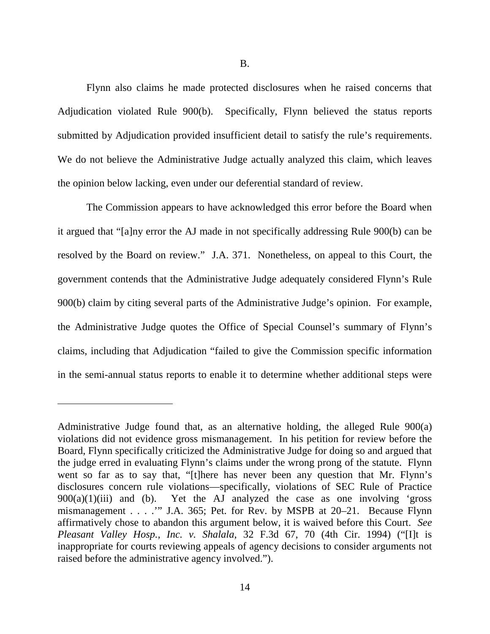Flynn also claims he made protected disclosures when he raised concerns that Adjudication violated Rule 900(b). Specifically, Flynn believed the status reports submitted by Adjudication provided insufficient detail to satisfy the rule's requirements. We do not believe the Administrative Judge actually analyzed this claim, which leaves the opinion below lacking, even under our deferential standard of review.

The Commission appears to have acknowledged this error before the Board when it argued that "[a]ny error the AJ made in not specifically addressing Rule 900(b) can be resolved by the Board on review." J.A. 371. Nonetheless, on appeal to this Court, the government contends that the Administrative Judge adequately considered Flynn's Rule 900(b) claim by citing several parts of the Administrative Judge's opinion. For example, the Administrative Judge quotes the Office of Special Counsel's summary of Flynn's claims, including that Adjudication "failed to give the Commission specific information in the semi-annual status reports to enable it to determine whether additional steps were

 $\overline{a}$ 

Administrative Judge found that, as an alternative holding, the alleged Rule 900(a) violations did not evidence gross mismanagement. In his petition for review before the Board, Flynn specifically criticized the Administrative Judge for doing so and argued that the judge erred in evaluating Flynn's claims under the wrong prong of the statute. Flynn went so far as to say that, "[t]here has never been any question that Mr. Flynn's disclosures concern rule violations—specifically, violations of SEC Rule of Practice  $900(a)(1)(iii)$  and (b). Yet the AJ analyzed the case as one involving 'gross Yet the AJ analyzed the case as one involving 'gross' mismanagement . . . .'" J.A. 365; Pet. for Rev. by MSPB at 20–21. Because Flynn affirmatively chose to abandon this argument below, it is waived before this Court. *See Pleasant Valley Hosp., Inc. v. Shalala*, 32 F.3d 67, 70 (4th Cir. 1994) ("[I]t is inappropriate for courts reviewing appeals of agency decisions to consider arguments not raised before the administrative agency involved.").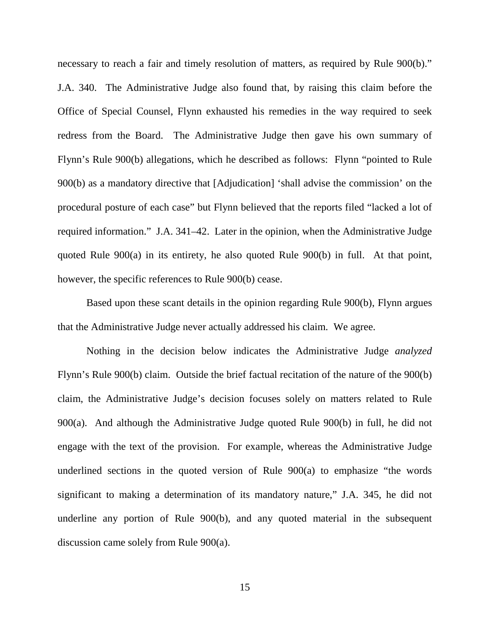necessary to reach a fair and timely resolution of matters, as required by Rule 900(b)." J.A. 340. The Administrative Judge also found that, by raising this claim before the Office of Special Counsel, Flynn exhausted his remedies in the way required to seek redress from the Board. The Administrative Judge then gave his own summary of Flynn's Rule 900(b) allegations, which he described as follows: Flynn "pointed to Rule 900(b) as a mandatory directive that [Adjudication] 'shall advise the commission' on the procedural posture of each case" but Flynn believed that the reports filed "lacked a lot of required information." J.A. 341–42. Later in the opinion, when the Administrative Judge quoted Rule 900(a) in its entirety, he also quoted Rule 900(b) in full. At that point, however, the specific references to Rule 900(b) cease.

Based upon these scant details in the opinion regarding Rule 900(b), Flynn argues that the Administrative Judge never actually addressed his claim. We agree.

Nothing in the decision below indicates the Administrative Judge *analyzed* Flynn's Rule 900(b) claim. Outside the brief factual recitation of the nature of the 900(b) claim, the Administrative Judge's decision focuses solely on matters related to Rule 900(a). And although the Administrative Judge quoted Rule 900(b) in full, he did not engage with the text of the provision. For example, whereas the Administrative Judge underlined sections in the quoted version of Rule 900(a) to emphasize "the words significant to making a determination of its mandatory nature," J.A. 345, he did not underline any portion of Rule 900(b), and any quoted material in the subsequent discussion came solely from Rule 900(a).

15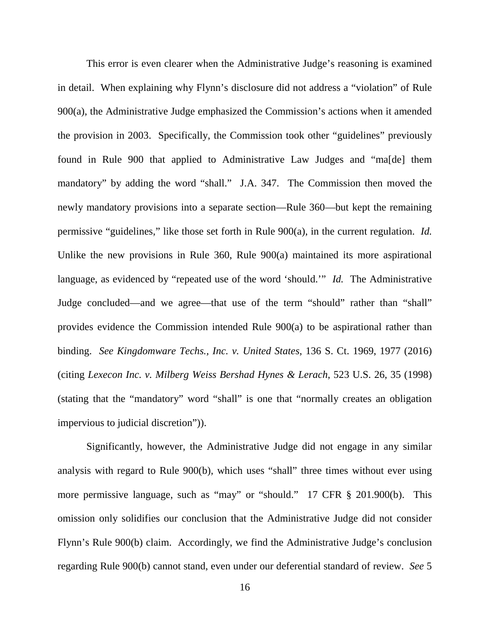This error is even clearer when the Administrative Judge's reasoning is examined in detail. When explaining why Flynn's disclosure did not address a "violation" of Rule 900(a), the Administrative Judge emphasized the Commission's actions when it amended the provision in 2003. Specifically, the Commission took other "guidelines" previously found in Rule 900 that applied to Administrative Law Judges and "ma[de] them mandatory" by adding the word "shall." J.A. 347. The Commission then moved the newly mandatory provisions into a separate section—Rule 360—but kept the remaining permissive "guidelines," like those set forth in Rule 900(a), in the current regulation. *Id.* Unlike the new provisions in Rule 360, Rule 900(a) maintained its more aspirational language, as evidenced by "repeated use of the word 'should.'" *Id.* The Administrative Judge concluded—and we agree—that use of the term "should" rather than "shall" provides evidence the Commission intended Rule 900(a) to be aspirational rather than binding. *See Kingdomware Techs., Inc. v. United States*, 136 S. Ct. 1969, 1977 (2016) (citing *Lexecon Inc. v. Milberg Weiss Bershad Hynes & Lerach*, 523 U.S. 26, 35 (1998) (stating that the "mandatory" word "shall" is one that "normally creates an obligation impervious to judicial discretion")).

Significantly, however, the Administrative Judge did not engage in any similar analysis with regard to Rule 900(b), which uses "shall" three times without ever using more permissive language, such as "may" or "should." 17 CFR § 201.900(b). This omission only solidifies our conclusion that the Administrative Judge did not consider Flynn's Rule 900(b) claim. Accordingly, we find the Administrative Judge's conclusion regarding Rule 900(b) cannot stand, even under our deferential standard of review. *See* 5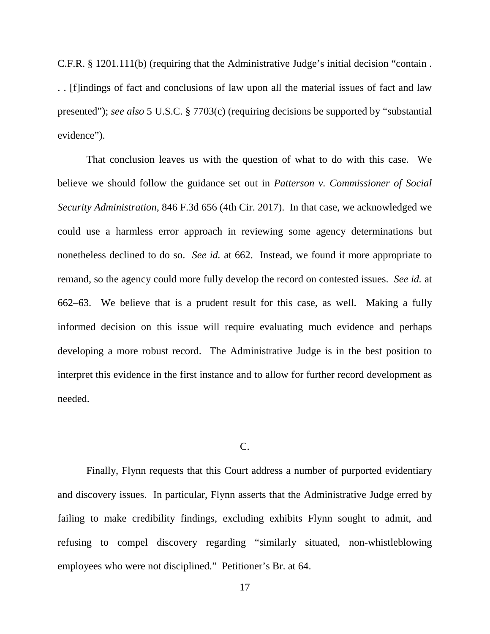C.F.R. § 1201.111(b) (requiring that the Administrative Judge's initial decision "contain . . . [f]indings of fact and conclusions of law upon all the material issues of fact and law presented"); *see also* 5 U.S.C. § 7703(c) (requiring decisions be supported by "substantial evidence").

That conclusion leaves us with the question of what to do with this case. We believe we should follow the guidance set out in *Patterson v. Commissioner of Social Security Administration*, 846 F.3d 656 (4th Cir. 2017). In that case, we acknowledged we could use a harmless error approach in reviewing some agency determinations but nonetheless declined to do so. *See id.* at 662. Instead, we found it more appropriate to remand, so the agency could more fully develop the record on contested issues. *See id.* at 662–63. We believe that is a prudent result for this case, as well. Making a fully informed decision on this issue will require evaluating much evidence and perhaps developing a more robust record. The Administrative Judge is in the best position to interpret this evidence in the first instance and to allow for further record development as needed.

## C.

Finally, Flynn requests that this Court address a number of purported evidentiary and discovery issues. In particular, Flynn asserts that the Administrative Judge erred by failing to make credibility findings, excluding exhibits Flynn sought to admit, and refusing to compel discovery regarding "similarly situated, non-whistleblowing employees who were not disciplined." Petitioner's Br. at 64.